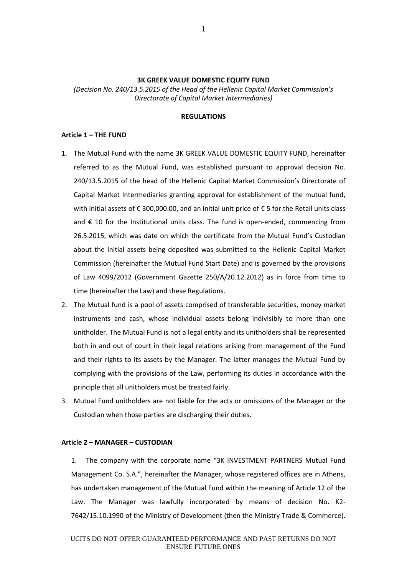### **3K GREEK VALUE DOMESTIC EQUITY FUND**

*(Decision No. 240/13.5.2015 of the Head of the Hellenic Capital Market Commission's Directorate of Capital Market Intermediaries)*

## **REGULATIONS**

### **Article 1 – THE FUND**

- 1. The Mutual Fund with the name 3K GREEK VALUE DOMESTIC EQUITY FUND, hereinafter referred to as the Mutual Fund, was established pursuant to approval decision No. 240/13.5.2015 of the head of the Hellenic Capital Market Commission's Directorate of Capital Market Intermediaries granting approval for establishment of the mutual fund, with initial assets of  $\epsilon$  300,000.00, and an initial unit price of  $\epsilon$  5 for the Retail units class and  $\epsilon$  10 for the Institutional units class. The fund is open-ended, commencing from 26.5.2015, which was date on which the certificate from the Mutual Fund's Custodian about the initial assets being deposited was submitted to the Hellenic Capital Market Commission (hereinafter the Mutual Fund Start Date) and is governed by the provisions of Law 4099/2012 (Government Gazette 250/A/20.12.2012) as in force from time to time (hereinafter the Law) and these Regulations.
- 2. The Mutual fund is a pool of assets comprised of transferable securities, money market instruments and cash, whose individual assets belong indivisibly to more than one unitholder. The Mutual Fund is not a legal entity and its unitholders shall be represented both in and out of court in their legal relations arising from management of the Fund and their rights to its assets by the Manager. The latter manages the Mutual Fund by complying with the provisions of the Law, performing its duties in accordance with the principle that all unitholders must be treated fairly.
- 3. Mutual Fund unitholders are not liable for the acts or omissions of the Manager or the Custodian when those parties are discharging their duties.

#### **Article 2 – MANAGER – CUSTODIAN**

1. The company with the corporate name "3K INVESTMENT PARTNERS Mutual Fund Management Co. S.A.", hereinafter the Manager, whose registered offices are in Athens, has undertaken management of the Mutual Fund within the meaning of Article 12 of the Law. The Manager was lawfully incorporated by means of decision No. Κ2- 7642/15.10.1990 of the Ministry of Development (then the Ministry Trade & Commerce).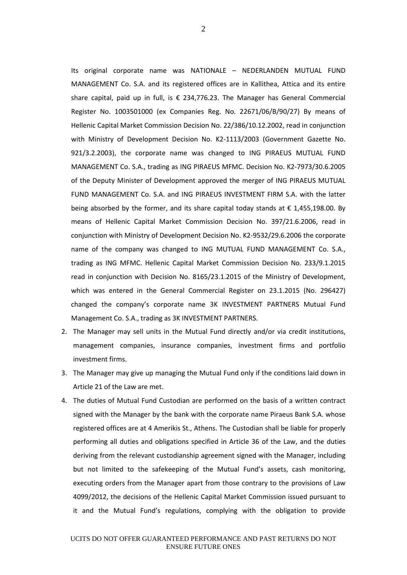Its original corporate name was NATIONALE – NEDERLANDEN MUTUAL FUND MANAGEMENT Co. S.A. and its registered offices are in Kallithea, Attica and its entire share capital, paid up in full, is  $\epsilon$  234,776.23. The Manager has General Commercial Register No. 1003501000 (ex Companies Reg. No. 22671/06/Β/90/27) By means of Hellenic Capital Market Commission Decision No. 22/386/10.12.2002, read in conjunction with Ministry of Development Decision No. Κ2-1113/2003 (Government Gazette No. 921/3.2.2003), the corporate name was changed to ING PIRAEUS MUTUAL FUND MANAGEMENT Co. S.A., trading as ING PIRAEUS MFMC. Decision No. Κ2-7973/30.6.2005 of the Deputy Minister of Development approved the merger of ING PIRAEUS MUTUAL FUND MANAGEMENT Co. S.A. and ING PIRAEUS INVESTMENT FIRM S.A. with the latter being absorbed by the former, and its share capital today stands at  $\epsilon$  1,455,198.00. By means of Hellenic Capital Market Commission Decision No. 397/21.6.2006, read in conjunction with Ministry of Development Decision No. K2-9532/29.6.2006 the corporate name of the company was changed to ING MUTUAL FUND MANAGEMENT Co. S.A., trading as ING MFMC. Hellenic Capital Market Commission Decision No. 233/9.1.2015 read in conjunction with Decision No. 8165/23.1.2015 of the Ministry of Development, which was entered in the General Commercial Register on 23.1.2015 (No. 296427) changed the company's corporate name 3K INVESTMENT PARTNERS Mutual Fund Management Co. S.A., trading as 3K INVESTMENT PARTNERS.

- 2. The Manager may sell units in the Mutual Fund directly and/or via credit institutions, management companies, insurance companies, investment firms and portfolio investment firms.
- 3. The Manager may give up managing the Mutual Fund only if the conditions laid down in Article 21 of the Law are met.
- 4. The duties of Mutual Fund Custodian are performed on the basis of a written contract signed with the Manager by the bank with the corporate name Piraeus Bank S.A. whose registered offices are at 4 Amerikis St., Athens. The Custodian shall be liable for properly performing all duties and obligations specified in Article 36 of the Law, and the duties deriving from the relevant custodianship agreement signed with the Manager, including but not limited to the safekeeping of the Mutual Fund's assets, cash monitoring, executing orders from the Manager apart from those contrary to the provisions of Law 4099/2012, the decisions of the Hellenic Capital Market Commission issued pursuant to it and the Mutual Fund's regulations, complying with the obligation to provide

2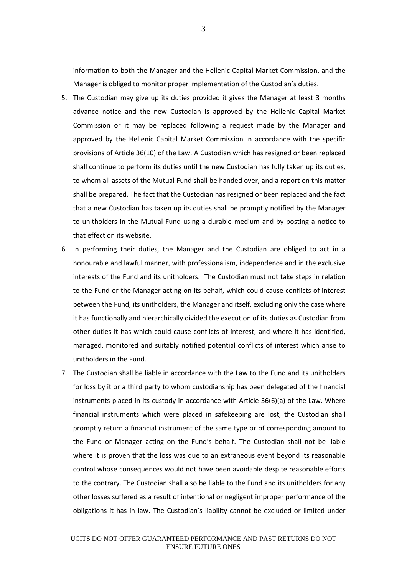information to both the Manager and the Hellenic Capital Market Commission, and the Manager is obliged to monitor proper implementation of the Custodian's duties.

- 5. The Custodian may give up its duties provided it gives the Manager at least 3 months advance notice and the new Custodian is approved by the Hellenic Capital Market Commission or it may be replaced following a request made by the Manager and approved by the Hellenic Capital Market Commission in accordance with the specific provisions of Article 36(10) of the Law. A Custodian which has resigned or been replaced shall continue to perform its duties until the new Custodian has fully taken up its duties, to whom all assets of the Mutual Fund shall be handed over, and a report on this matter shall be prepared. The fact that the Custodian has resigned or been replaced and the fact that a new Custodian has taken up its duties shall be promptly notified by the Manager to unitholders in the Mutual Fund using a durable medium and by posting a notice to that effect on its website.
- 6. In performing their duties, the Manager and the Custodian are obliged to act in a honourable and lawful manner, with professionalism, independence and in the exclusive interests of the Fund and its unitholders. The Custodian must not take steps in relation to the Fund or the Manager acting on its behalf, which could cause conflicts of interest between the Fund, its unitholders, the Manager and itself, excluding only the case where it has functionally and hierarchically divided the execution of its duties as Custodian from other duties it has which could cause conflicts of interest, and where it has identified, managed, monitored and suitably notified potential conflicts of interest which arise to unitholders in the Fund.
- 7. The Custodian shall be liable in accordance with the Law to the Fund and its unitholders for loss by it or a third party to whom custodianship has been delegated of the financial instruments placed in its custody in accordance with Article 36(6)(a) of the Law. Where financial instruments which were placed in safekeeping are lost, the Custodian shall promptly return a financial instrument of the same type or of corresponding amount to the Fund or Manager acting on the Fund's behalf. The Custodian shall not be liable where it is proven that the loss was due to an extraneous event beyond its reasonable control whose consequences would not have been avoidable despite reasonable efforts to the contrary. The Custodian shall also be liable to the Fund and its unitholders for any other losses suffered as a result of intentional or negligent improper performance of the obligations it has in law. The Custodian's liability cannot be excluded or limited under

3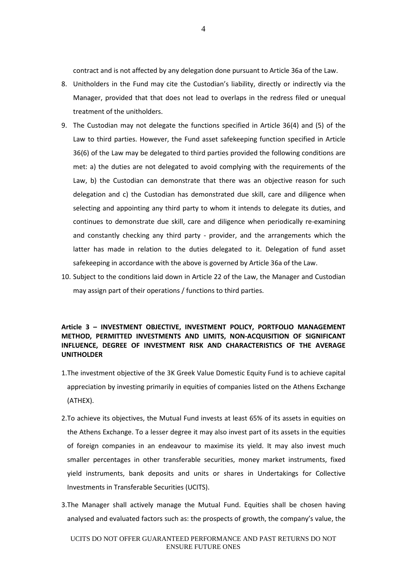contract and is not affected by any delegation done pursuant to Article 36a of the Law.

- 8. Unitholders in the Fund may cite the Custodian's liability, directly or indirectly via the Manager, provided that that does not lead to overlaps in the redress filed or unequal treatment of the unitholders.
- 9. The Custodian may not delegate the functions specified in Article 36(4) and (5) of the Law to third parties. However, the Fund asset safekeeping function specified in Article 36(6) of the Law may be delegated to third parties provided the following conditions are met: a) the duties are not delegated to avoid complying with the requirements of the Law, b) the Custodian can demonstrate that there was an objective reason for such delegation and c) the Custodian has demonstrated due skill, care and diligence when selecting and appointing any third party to whom it intends to delegate its duties, and continues to demonstrate due skill, care and diligence when periodically re-examining and constantly checking any third party - provider, and the arrangements which the latter has made in relation to the duties delegated to it. Delegation of fund asset safekeeping in accordance with the above is governed by Article 36a of the Law.
- 10. Subject to the conditions laid down in Article 22 of the Law, the Manager and Custodian may assign part of their operations / functions to third parties.

# **Article 3 – INVESTMENT OBJECTIVE, INVESTMENT POLICY, PORTFOLIO MANAGEMENT METHOD, PERMITTED INVESTMENTS AND LIMITS, NON-ACQUISITION OF SIGNIFICANT INFLUENCE, DEGREE OF INVESTMENT RISK AND CHARACTERISTICS OF THE AVERAGE UNITHOLDER**

- 1.The investment objective of the 3K Greek Value Domestic Equity Fund is to achieve capital appreciation by investing primarily in equities of companies listed on the Athens Exchange (ATHEX).
- 2.To achieve its objectives, the Mutual Fund invests at least 65% of its assets in equities on the Athens Exchange. To a lesser degree it may also invest part of its assets in the equities of foreign companies in an endeavour to maximise its yield. It may also invest much smaller percentages in other transferable securities, money market instruments, fixed yield instruments, bank deposits and units or shares in Undertakings for Collective Investments in Transferable Securities (UCITS).
- 3.The Manager shall actively manage the Mutual Fund. Equities shall be chosen having analysed and evaluated factors such as: the prospects of growth, the company's value, the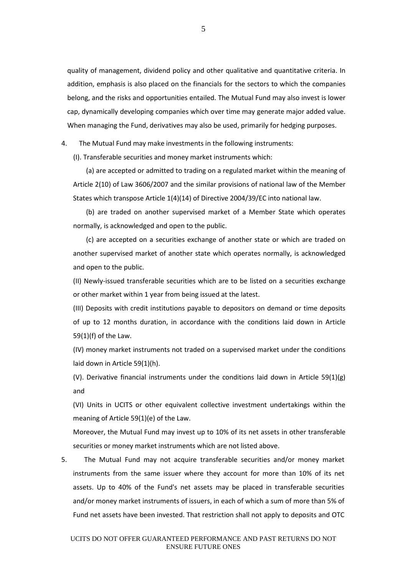quality of management, dividend policy and other qualitative and quantitative criteria. In addition, emphasis is also placed on the financials for the sectors to which the companies belong, and the risks and opportunities entailed. The Mutual Fund may also invest is lower cap, dynamically developing companies which over time may generate major added value. When managing the Fund, derivatives may also be used, primarily for hedging purposes.

4. The Mutual Fund may make investments in the following instruments:

(I). Transferable securities and money market instruments which:

(a) are accepted or admitted to trading on a regulated market within the meaning of Article 2(10) of Law 3606/2007 and the similar provisions of national law of the Member States which transpose Article 1(4)(14) of Directive 2004/39/EC into national law.

(b) are traded on another supervised market of a Member State which operates normally, is acknowledged and open to the public.

(c) are accepted on a securities exchange of another state or which are traded on another supervised market of another state which operates normally, is acknowledged and open to the public.

(II) Newly-issued transferable securities which are to be listed on a securities exchange or other market within 1 year from being issued at the latest.

(III) Deposits with credit institutions payable to depositors on demand or time deposits of up to 12 months duration, in accordance with the conditions laid down in Article 59(1)(f) of the Law.

(IV) money market instruments not traded on a supervised market under the conditions laid down in Article 59(1)(h).

(V). Derivative financial instruments under the conditions laid down in Article 59(1)(g) and

(VI) Units in UCITS or other equivalent collective investment undertakings within the meaning of Article 59(1)(e) of the Law.

Moreover, the Mutual Fund may invest up to 10% of its net assets in other transferable securities or money market instruments which are not listed above.

5. The Mutual Fund may not acquire transferable securities and/or money market instruments from the same issuer where they account for more than 10% of its net assets. Up to 40% of the Fund's net assets may be placed in transferable securities and/or money market instruments of issuers, in each of which a sum of more than 5% of Fund net assets have been invested. That restriction shall not apply to deposits and OTC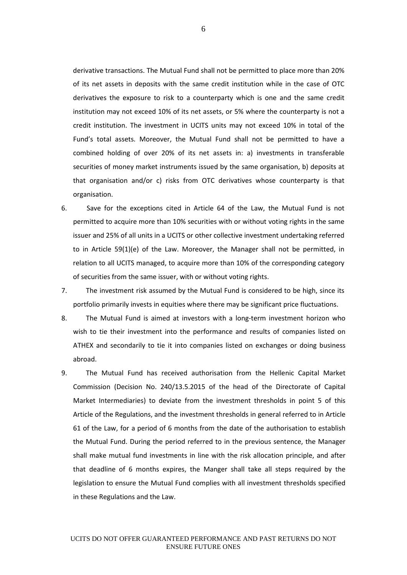derivative transactions. The Mutual Fund shall not be permitted to place more than 20% of its net assets in deposits with the same credit institution while in the case of OTC derivatives the exposure to risk to a counterparty which is one and the same credit institution may not exceed 10% of its net assets, or 5% where the counterparty is not a credit institution. The investment in UCITS units may not exceed 10% in total of the Fund's total assets. Moreover, the Mutual Fund shall not be permitted to have a combined holding of over 20% of its net assets in: a) investments in transferable securities of money market instruments issued by the same organisation, b) deposits at that organisation and/or c) risks from OTC derivatives whose counterparty is that organisation.

- 6. Save for the exceptions cited in Article 64 of the Law, the Mutual Fund is not permitted to acquire more than 10% securities with or without voting rights in the same issuer and 25% of all units in a UCITS or other collective investment undertaking referred to in Article 59(1)(e) of the Law. Moreover, the Manager shall not be permitted, in relation to all UCITS managed, to acquire more than 10% of the corresponding category of securities from the same issuer, with or without voting rights.
- 7. The investment risk assumed by the Mutual Fund is considered to be high, since its portfolio primarily invests in equities where there may be significant price fluctuations.
- 8. The Mutual Fund is aimed at investors with a long-term investment horizon who wish to tie their investment into the performance and results of companies listed on ATHEX and secondarily to tie it into companies listed on exchanges or doing business abroad.
- 9. The Mutual Fund has received authorisation from the Hellenic Capital Market Commission (Decision No. 240/13.5.2015 of the head of the Directorate of Capital Market Intermediaries) to deviate from the investment thresholds in point 5 of this Article of the Regulations, and the investment thresholds in general referred to in Article 61 of the Law, for a period of 6 months from the date of the authorisation to establish the Mutual Fund. During the period referred to in the previous sentence, the Manager shall make mutual fund investments in line with the risk allocation principle, and after that deadline of 6 months expires, the Manger shall take all steps required by the legislation to ensure the Mutual Fund complies with all investment thresholds specified in these Regulations and the Law.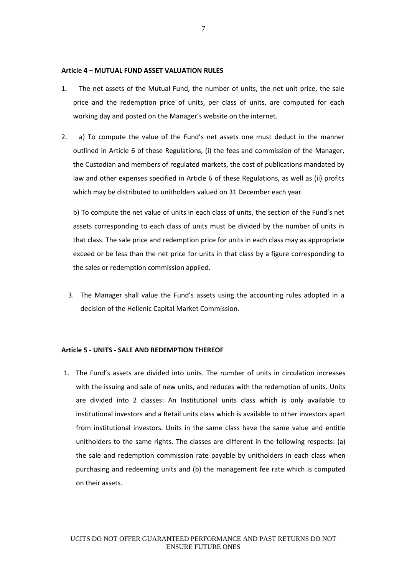#### **Article 4 – MUTUAL FUND ASSET VALUATION RULES**

- 1. The net assets of the Mutual Fund, the number of units, the net unit price, the sale price and the redemption price of units, per class of units, are computed for each working day and posted on the Manager's website on the internet.
- 2. a) To compute the value of the Fund's net assets one must deduct in the manner outlined in Article 6 of these Regulations, (i) the fees and commission of the Manager, the Custodian and members of regulated markets, the cost of publications mandated by law and other expenses specified in Article 6 of these Regulations, as well as (ii) profits which may be distributed to unitholders valued on 31 December each year.

b) To compute the net value of units in each class of units, the section of the Fund's net assets corresponding to each class of units must be divided by the number of units in that class. The sale price and redemption price for units in each class may as appropriate exceed or be less than the net price for units in that class by a figure corresponding to the sales or redemption commission applied.

3. The Manager shall value the Fund's assets using the accounting rules adopted in a decision of the Hellenic Capital Market Commission.

# **Article 5 - UNITS - SALE AND REDEMPTION THEREOF**

1. The Fund's assets are divided into units. The number of units in circulation increases with the issuing and sale of new units, and reduces with the redemption of units. Units are divided into 2 classes: An Institutional units class which is only available to institutional investors and a Retail units class which is available to other investors apart from institutional investors. Units in the same class have the same value and entitle unitholders to the same rights. The classes are different in the following respects: (a) the sale and redemption commission rate payable by unitholders in each class when purchasing and redeeming units and (b) the management fee rate which is computed on their assets.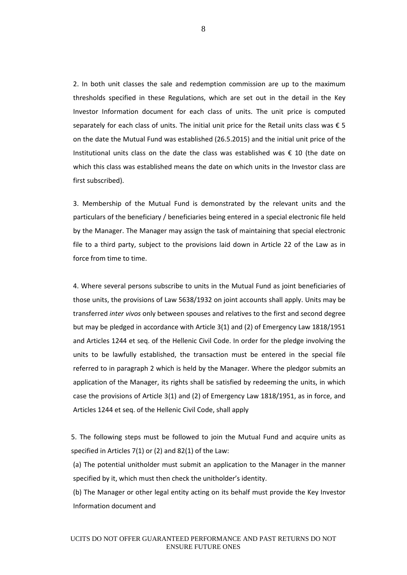2. In both unit classes the sale and redemption commission are up to the maximum thresholds specified in these Regulations, which are set out in the detail in the Key Investor Information document for each class of units. The unit price is computed separately for each class of units. The initial unit price for the Retail units class was  $\epsilon$  5 on the date the Mutual Fund was established (26.5.2015) and the initial unit price of the Institutional units class on the date the class was established was  $\epsilon$  10 (the date on which this class was established means the date on which units in the Investor class are first subscribed).

3. Membership of the Mutual Fund is demonstrated by the relevant units and the particulars of the beneficiary / beneficiaries being entered in a special electronic file held by the Manager. The Manager may assign the task of maintaining that special electronic file to a third party, subject to the provisions laid down in Article 22 of the Law as in force from time to time.

4. Where several persons subscribe to units in the Mutual Fund as joint beneficiaries of those units, the provisions of Law 5638/1932 on joint accounts shall apply. Units may be transferred *inter vivos* only between spouses and relatives to the first and second degree but may be pledged in accordance with Article 3(1) and (2) of Emergency Law 1818/1951 and Articles 1244 et seq. of the Hellenic Civil Code. In order for the pledge involving the units to be lawfully established, the transaction must be entered in the special file referred to in paragraph 2 which is held by the Manager. Where the pledgor submits an application of the Manager, its rights shall be satisfied by redeeming the units, in which case the provisions of Article 3(1) and (2) of Emergency Law 1818/1951, as in force, and Articles 1244 et seq. of the Hellenic Civil Code, shall apply

5. The following steps must be followed to join the Mutual Fund and acquire units as specified in Articles 7(1) or (2) and 82(1) of the Law:

(a) The potential unitholder must submit an application to the Manager in the manner specified by it, which must then check the unitholder's identity.

(b) The Manager or other legal entity acting on its behalf must provide the Key Investor Information document and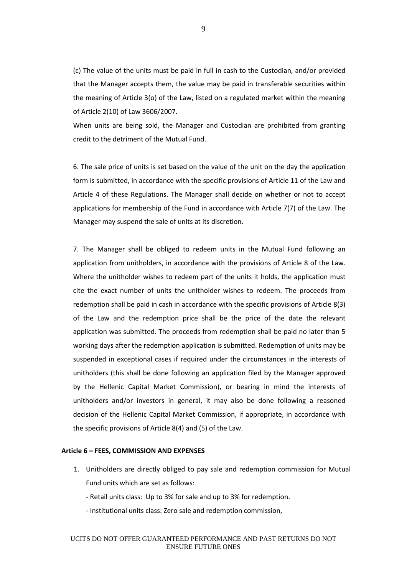(c) The value of the units must be paid in full in cash to the Custodian, and/or provided that the Manager accepts them, the value may be paid in transferable securities within the meaning of Article 3(o) of the Law, listed on a regulated market within the meaning of Article 2(10) of Law 3606/2007.

When units are being sold, the Manager and Custodian are prohibited from granting credit to the detriment of the Mutual Fund.

6. The sale price of units is set based on the value of the unit on the day the application form is submitted, in accordance with the specific provisions of Article 11 of the Law and Article 4 of these Regulations. The Manager shall decide on whether or not to accept applications for membership of the Fund in accordance with Article 7(7) of the Law. The Manager may suspend the sale of units at its discretion.

7. The Manager shall be obliged to redeem units in the Mutual Fund following an application from unitholders, in accordance with the provisions of Article 8 of the Law. Where the unitholder wishes to redeem part of the units it holds, the application must cite the exact number of units the unitholder wishes to redeem. The proceeds from redemption shall be paid in cash in accordance with the specific provisions of Article 8(3) of the Law and the redemption price shall be the price of the date the relevant application was submitted. The proceeds from redemption shall be paid no later than 5 working days after the redemption application is submitted. Redemption of units may be suspended in exceptional cases if required under the circumstances in the interests of unitholders (this shall be done following an application filed by the Manager approved by the Hellenic Capital Market Commission), or bearing in mind the interests of unitholders and/or investors in general, it may also be done following a reasoned decision of the Hellenic Capital Market Commission, if appropriate, in accordance with the specific provisions of Article 8(4) and (5) of the Law.

### **Article 6 – FEES, COMMISSION AND EXPENSES**

- 1. Unitholders are directly obliged to pay sale and redemption commission for Mutual Fund units which are set as follows:
	- Retail units class: Up to 3% for sale and up to 3% for redemption.
	- Institutional units class: Zero sale and redemption commission,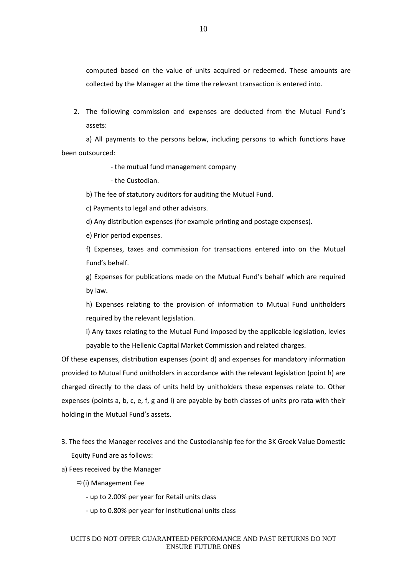computed based on the value of units acquired or redeemed. These amounts are collected by the Manager at the time the relevant transaction is entered into.

2. The following commission and expenses are deducted from the Mutual Fund's assets:

a) All payments to the persons below, including persons to which functions have been outsourced:

- the mutual fund management company

- the Custodian.

b) The fee of statutory auditors for auditing the Mutual Fund.

c) Payments to legal and other advisors.

d) Any distribution expenses (for example printing and postage expenses).

e) Prior period expenses.

f) Expenses, taxes and commission for transactions entered into on the Mutual Fund's behalf.

g) Expenses for publications made on the Mutual Fund's behalf which are required by law.

h) Expenses relating to the provision of information to Mutual Fund unitholders required by the relevant legislation.

i) Any taxes relating to the Mutual Fund imposed by the applicable legislation, levies payable to the Hellenic Capital Market Commission and related charges.

Of these expenses, distribution expenses (point d) and expenses for mandatory information provided to Mutual Fund unitholders in accordance with the relevant legislation (point h) are charged directly to the class of units held by unitholders these expenses relate to. Other expenses (points a, b, c, e, f, g and i) are payable by both classes of units pro rata with their holding in the Mutual Fund's assets.

- 3. The fees the Manager receives and the Custodianship fee for the 3K Greek Value Domestic Equity Fund are as follows:
- a) Fees received by the Manager
	- $\Rightarrow$ (i) Management Fee
		- up to 2.00% per year for Retail units class
		- up to 0.80% per year for Institutional units class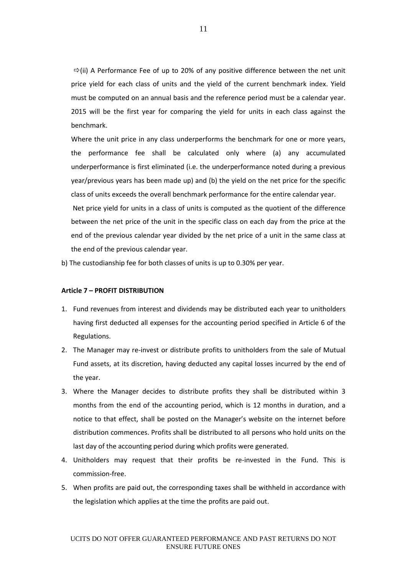$\Rightarrow$  (ii) A Performance Fee of up to 20% of any positive difference between the net unit price yield for each class of units and the yield of the current benchmark index. Yield must be computed on an annual basis and the reference period must be a calendar year. 2015 will be the first year for comparing the yield for units in each class against the benchmark.

Where the unit price in any class underperforms the benchmark for one or more years, the performance fee shall be calculated only where (a) any accumulated underperformance is first eliminated (i.e. the underperformance noted during a previous year/previous years has been made up) and (b) the yield on the net price for the specific class of units exceeds the overall benchmark performance for the entire calendar year.

Net price yield for units in a class of units is computed as the quotient of the difference between the net price of the unit in the specific class on each day from the price at the end of the previous calendar year divided by the net price of a unit in the same class at the end of the previous calendar year.

b) The custodianship fee for both classes of units is up to 0.30% per year.

## **Article 7 – PROFIT DISTRIBUTION**

- 1. Fund revenues from interest and dividends may be distributed each year to unitholders having first deducted all expenses for the accounting period specified in Article 6 of the Regulations.
- 2. The Manager may re-invest or distribute profits to unitholders from the sale of Mutual Fund assets, at its discretion, having deducted any capital losses incurred by the end of the year.
- 3. Where the Manager decides to distribute profits they shall be distributed within 3 months from the end of the accounting period, which is 12 months in duration, and a notice to that effect, shall be posted on the Manager's website on the internet before distribution commences. Profits shall be distributed to all persons who hold units on the last day of the accounting period during which profits were generated.
- 4. Unitholders may request that their profits be re-invested in the Fund. This is commission-free.
- 5. When profits are paid out, the corresponding taxes shall be withheld in accordance with the legislation which applies at the time the profits are paid out.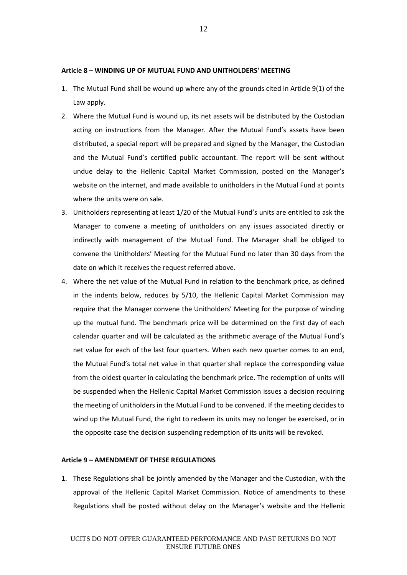### **Article 8 – WINDING UP OF MUTUAL FUND AND UNITHOLDERS' MEETING**

- 1. The Mutual Fund shall be wound up where any of the grounds cited in Article 9(1) of the Law apply.
- 2. Where the Mutual Fund is wound up, its net assets will be distributed by the Custodian acting on instructions from the Manager. After the Mutual Fund's assets have been distributed, a special report will be prepared and signed by the Manager, the Custodian and the Mutual Fund's certified public accountant. The report will be sent without undue delay to the Hellenic Capital Market Commission, posted on the Manager's website on the internet, and made available to unitholders in the Mutual Fund at points where the units were on sale.
- 3. Unitholders representing at least 1/20 of the Mutual Fund's units are entitled to ask the Manager to convene a meeting of unitholders on any issues associated directly or indirectly with management of the Mutual Fund. The Manager shall be obliged to convene the Unitholders' Meeting for the Mutual Fund no later than 30 days from the date on which it receives the request referred above.
- 4. Where the net value of the Mutual Fund in relation to the benchmark price, as defined in the indents below, reduces by 5/10, the Hellenic Capital Market Commission may require that the Manager convene the Unitholders' Meeting for the purpose of winding up the mutual fund. The benchmark price will be determined on the first day of each calendar quarter and will be calculated as the arithmetic average of the Mutual Fund's net value for each of the last four quarters. When each new quarter comes to an end, the Mutual Fund's total net value in that quarter shall replace the corresponding value from the oldest quarter in calculating the benchmark price. The redemption of units will be suspended when the Hellenic Capital Market Commission issues a decision requiring the meeting of unitholders in the Mutual Fund to be convened. If the meeting decides to wind up the Mutual Fund, the right to redeem its units may no longer be exercised, or in the opposite case the decision suspending redemption of its units will be revoked.

## **Article 9 – AMENDMENT OF THESE REGULATIONS**

1. These Regulations shall be jointly amended by the Manager and the Custodian, with the approval of the Hellenic Capital Market Commission. Notice of amendments to these Regulations shall be posted without delay on the Manager's website and the Hellenic